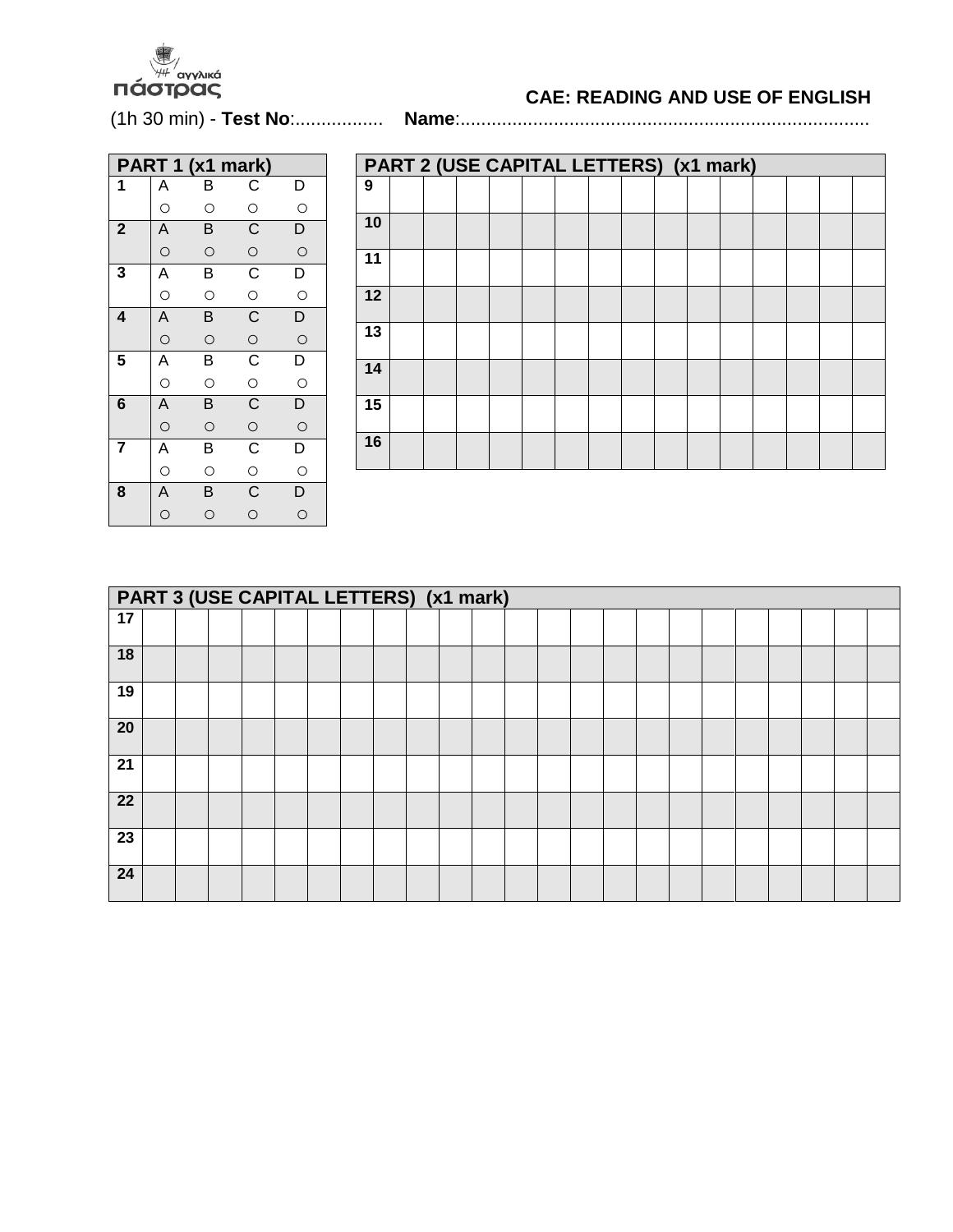

## **CAE: READING AND USE OF ENGLISH**

(1h 30 min) - **Test No**:................. **Name**:...............................................................................

|             |                                                             | PART 1 (x1 mark) |                    |                |
|-------------|-------------------------------------------------------------|------------------|--------------------|----------------|
| 1           | A                                                           | В                | $\mathsf{C}$       | D              |
|             | $\circ$                                                     | $\circ$          | $\circ$            | $\circ$        |
| $\mathbf 2$ | $\overline{A}$                                              | B                | $\overline{C}$     | $\overline{D}$ |
|             | $\frac{\circ}{A}$                                           | $\circ$          |                    | $\circ$        |
| 3           |                                                             | B                | $\frac{0}{C}$      | $\overline{D}$ |
|             | $\circ$                                                     | $\circ$          |                    | $\circ$        |
| 4           | $\overline{A}$                                              | B                | $\frac{c}{\circ}$  | $\overline{D}$ |
|             | $\circ$                                                     | $\circ$          |                    | $\circ$        |
| 5           | $\overline{A}$                                              | $\overline{B}$   | $\overline{C}$     | $\overline{D}$ |
|             | $\circ$                                                     | $\circ$          |                    | $\circ$        |
| 6           | $\overline{A}$                                              | B                | $\frac{1}{\alpha}$ | $\overline{D}$ |
|             |                                                             | $\circ$          |                    | $\circ$        |
| 7           |                                                             | $\overline{B}$   |                    | $\overline{D}$ |
|             | $\overline{A}$ $\overline{A}$ $\overline{A}$ $\overline{A}$ | $\circ$          | $rac{C}{C}$        | $\overline{O}$ |
| 8           |                                                             | B                |                    | $\overline{D}$ |
|             |                                                             | $\circ$          | $\circ$            | $\circ$        |

|    | PART 2 (USE CAPITAL LETTERS) (x1 mark) |  |  |  |  |  |  |  |  |  |  |  |  |  |
|----|----------------------------------------|--|--|--|--|--|--|--|--|--|--|--|--|--|
| 9  |                                        |  |  |  |  |  |  |  |  |  |  |  |  |  |
| 10 |                                        |  |  |  |  |  |  |  |  |  |  |  |  |  |
| 11 |                                        |  |  |  |  |  |  |  |  |  |  |  |  |  |
| 12 |                                        |  |  |  |  |  |  |  |  |  |  |  |  |  |
| 13 |                                        |  |  |  |  |  |  |  |  |  |  |  |  |  |
| 14 |                                        |  |  |  |  |  |  |  |  |  |  |  |  |  |
| 15 |                                        |  |  |  |  |  |  |  |  |  |  |  |  |  |
| 16 |                                        |  |  |  |  |  |  |  |  |  |  |  |  |  |

|                 | PART 3 (USE CAPITAL LETTERS) (x1 mark) |  |  |  |  |  |  |  |  |  |  |  |  |  |  |  |  |  |
|-----------------|----------------------------------------|--|--|--|--|--|--|--|--|--|--|--|--|--|--|--|--|--|
| $\overline{17}$ |                                        |  |  |  |  |  |  |  |  |  |  |  |  |  |  |  |  |  |
| 18              |                                        |  |  |  |  |  |  |  |  |  |  |  |  |  |  |  |  |  |
| 19              |                                        |  |  |  |  |  |  |  |  |  |  |  |  |  |  |  |  |  |
| 20              |                                        |  |  |  |  |  |  |  |  |  |  |  |  |  |  |  |  |  |
| 21              |                                        |  |  |  |  |  |  |  |  |  |  |  |  |  |  |  |  |  |
| 22              |                                        |  |  |  |  |  |  |  |  |  |  |  |  |  |  |  |  |  |
| 23              |                                        |  |  |  |  |  |  |  |  |  |  |  |  |  |  |  |  |  |
| 24              |                                        |  |  |  |  |  |  |  |  |  |  |  |  |  |  |  |  |  |